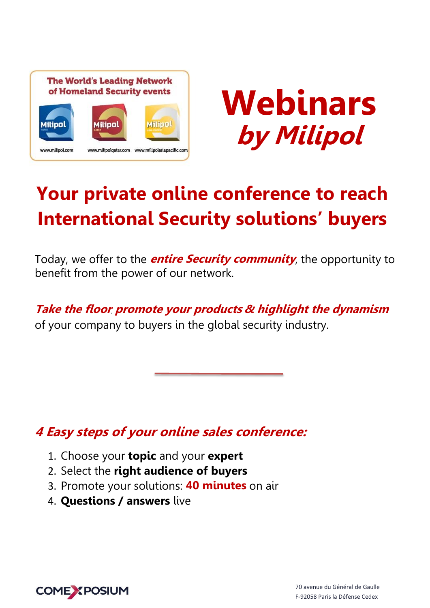



# **Your private online conference to reach International Security solutions' buyers**

Today, we offer to the **entire Security community**, the opportunity to benefit from the power of our network.

### **Take the floor**, **promote your products & highlight the dynamism**

of your company to buyers in the global security industry.

# **4 Easy steps of your online sales conference:**

- 1. Choose your **topic** and your **expert**
- 2. Select the **right audience of buyers**
- 3. Promote your solutions: **40 minutes** on air
- 4. **Questions / answers** live

**COME XPOSIUM**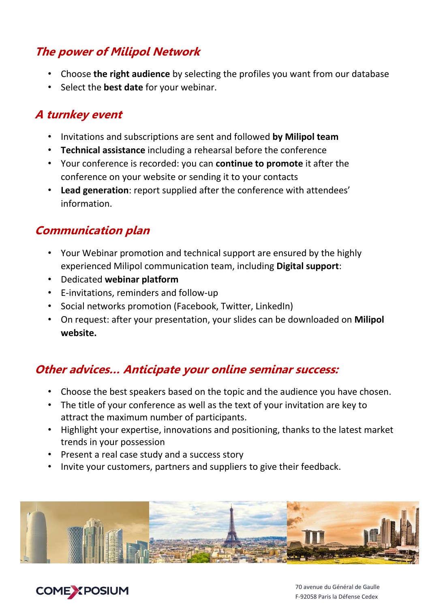# **The power of Milipol Network**

- Choose **the right audience** by selecting the profiles you want from our database
- Select the **best date** for your webinar.

### **A turnkey event**

- Invitations and subscriptions are sent and followed **by Milipol team**
- **Technical assistance** including a rehearsal before the conference
- Your conference is recorded: you can **continue to promote** it after the conference on your website or sending it to your contacts
- **Lead generation**: report supplied after the conference with attendees' information.

## **Communication plan**

- Your Webinar promotion and technical support are ensured by the highly experienced Milipol communication team, including **Digital support**:
- Dedicated **webinar platform**
- E-invitations, reminders and follow-up
- Social networks promotion (Facebook, Twitter, LinkedIn)
- On request: after your presentation, your slides can be downloaded on **Milipol website.**

## **Other advices… Anticipate your online seminar success:**

- Choose the best speakers based on the topic and the audience you have chosen.
- The title of your conference as well as the text of your invitation are key to attract the maximum number of participants.
- Highlight your expertise, innovations and positioning, thanks to the latest market trends in your possession
- Present a real case study and a success story
- Invite your customers, partners and suppliers to give their feedback.



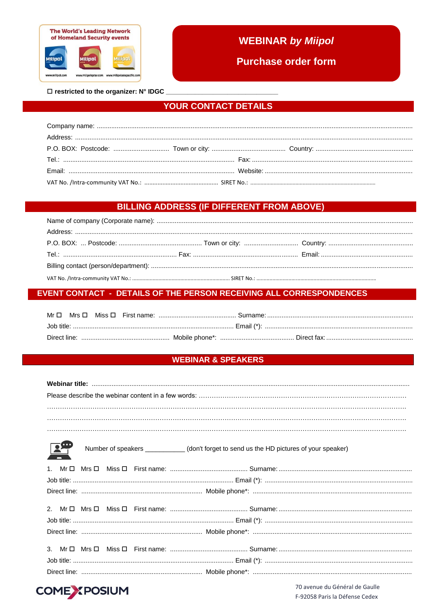

### **WEBINAR by Miipol**

**Purchase order form** 

 $\square$  restricted to the organizer: N° IDGC

#### **YOUR CONTACT DETAILS**

#### **BILLING ADDRESS (IF DIFFERENT FROM ABOVE)**

#### **EVENT CONTACT - DETAILS OF THE PERSON RECEIVING ALL CORRESPONDENCES**

#### **WEBINAR & SPEAKERS**

| $\mathbb{F}$<br>Number of speakers ___________(don't forget to send us the HD pictures of your speaker) |
|---------------------------------------------------------------------------------------------------------|
|                                                                                                         |
|                                                                                                         |
|                                                                                                         |
|                                                                                                         |
|                                                                                                         |
|                                                                                                         |
|                                                                                                         |



70 avenue du Général de Gaulle F-92058 Paris la Défense Cedex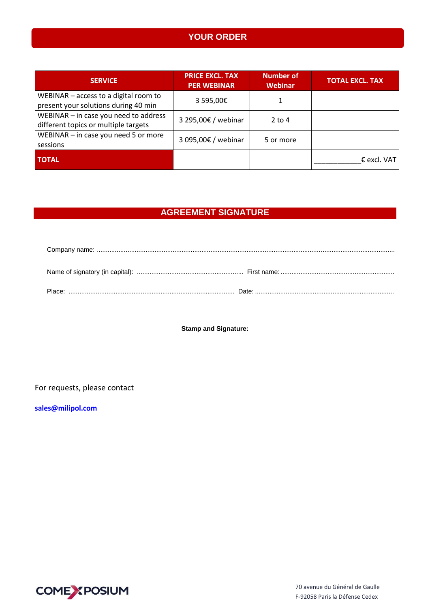### **YOUR ORDER**

| <b>SERVICE</b>                                                                | <b>PRICE EXCL. TAX</b><br><b>PER WEBINAR</b> | <b>Number of</b><br>Webinar | <b>TOTAL EXCL. TAX</b> |
|-------------------------------------------------------------------------------|----------------------------------------------|-----------------------------|------------------------|
| WEBINAR - access to a digital room to<br>present your solutions during 40 min | 3 595,00€                                    |                             |                        |
| WEBINAR - in case you need to address<br>different topics or multiple targets | 3 295,00€ / webinar                          | $2$ to 4                    |                        |
| WEBINAR $-$ in case you need 5 or more<br>sessions                            | 3 095,00€ / webinar                          | 5 or more                   |                        |
| <b>TOTAL</b>                                                                  |                                              |                             | $\epsilon$ excl. VAT   |

### **AGREEMENT SIGNATURE**

**Stamp and Signature:**

For requests, please contact

**[sales@milipol.com](mailto:sales@milipol.com)**

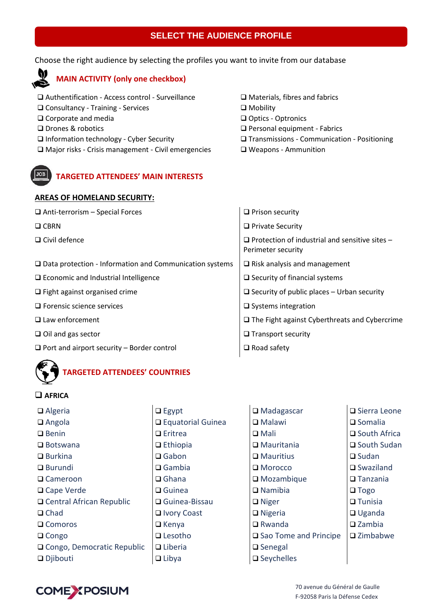#### **SELECT THE AUDIENCE PROFILE**

Choose the right audience by selecting the profiles you want to invite from our database

### **MAIN ACTIVITY (only one checkbox)**

 Authentification - Access control - Surveillance □ Consultancy - Training - Services □ Corporate and media □ Drones & robotics □ Information technology - Cyber Security □ Major risks - Crisis management - Civil emergencies

**TARGETED ATTENDEES' MAIN INTERESTS**

- Materials, fibres and fabrics
- □ Mobility
- □ Optics Optronics
- Personal equipment Fabrics
- Transmissions Communication Positioning
- Weapons Ammunition

| <b>AREAS OF HOMELAND SECURITY:</b>                                |                                                                             |
|-------------------------------------------------------------------|-----------------------------------------------------------------------------|
| $\Box$ Anti-terrorism – Special Forces                            | $\Box$ Prison security                                                      |
| $\square$ CBRN                                                    | $\Box$ Private Security                                                     |
| $\square$ Civil defence                                           | $\Box$ Protection of industrial and sensitive sites -<br>Perimeter security |
| $\square$ Data protection - Information and Communication systems | $\Box$ Risk analysis and management                                         |
| □ Economic and Industrial Intelligence                            | $\Box$ Security of financial systems                                        |
| $\Box$ Fight against organised crime                              | $\Box$ Security of public places – Urban security                           |
| $\square$ Forensic science services                               | $\square$ Systems integration                                               |
|                                                                   |                                                                             |

- $\Box$  Law enforcement  $\Box$  The Fight against Cyberthreats and Cybercrime
- $\Box$  Oil and gas sector  $\Box$  Transport security
- $\Box$  Port and airport security Border control  $\Box$  Road safety



#### **AFRICA**

| $\Box$ Algeria               | $\Box$ Egypt        | $\Box$ Madagascar               | $\square$ Sierra Leone |
|------------------------------|---------------------|---------------------------------|------------------------|
| $\Box$ Angola                | □ Equatorial Guinea | $\Box$ Malawi                   | $\square$ Somalia      |
| $\Box$ Benin                 | $\Box$ Eritrea      | $\Box$ Mali                     | $\square$ South Africa |
| $\Box$ Botswana              | $\Box$ Ethiopia     | $\Box$ Mauritania               | $\square$ South Sudan  |
| $\Box$ Burkina               | $\Box$ Gabon        | $\Box$ Mauritius                | $\Box$ Sudan           |
| $\Box$ Burundi               | $\Box$ Gambia       | $\Box$ Morocco                  | $\square$ Swaziland    |
| $\Box$ Cameroon              | $\Box$ Ghana        | $\square$ Mozambique            | $\Box$ Tanzania        |
| $\Box$ Cape Verde            | $\Box$ Guinea       | $\Box$ Namibia                  | $\Box$ Togo            |
| □ Central African Republic   | □ Guinea-Bissau     | $\Box$ Niger                    | $\Box$ Tunisia         |
| $\Box$ Chad                  | □ Ivory Coast       | $\Box$ Nigeria                  | $\Box$ Uganda          |
| $\Box$ Comoros               | $\Box$ Kenya        | $\Box$ Rwanda                   | $\square$ Zambia       |
| $\Box$ Congo                 | $\Box$ Lesotho      | $\square$ Sao Tome and Principe | $\square$ Zimbabwe     |
| □ Congo, Democratic Republic | $\Box$ Liberia      | $\Box$ Senegal                  |                        |
| $\Box$ Djibouti              | $\Box$ Libya        | $\square$ Seychelles            |                        |
|                              |                     |                                 |                        |